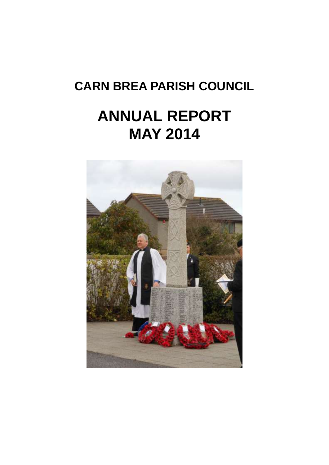## **CARN BREA PARISH COUNCIL**

# **ANNUAL REPORT MAY 2014**

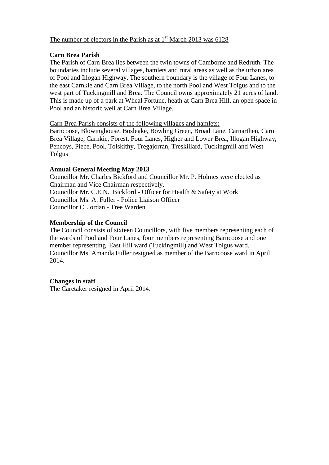#### The number of electors in the Parish as at  $1<sup>st</sup>$  March 2013 was 6128

#### **Carn Brea Parish**

The Parish of Carn Brea lies between the twin towns of Camborne and Redruth. The boundaries include several villages, hamlets and rural areas as well as the urban area of Pool and Illogan Highway. The southern boundary is the village of Four Lanes, to the east Carnkie and Carn Brea Village, to the north Pool and West Tolgus and to the west part of Tuckingmill and Brea. The Council owns approximately 21 acres of land. This is made up of a park at Wheal Fortune, heath at Carn Brea Hill, an open space in Pool and an historic well at Carn Brea Village.

Carn Brea Parish consists of the following villages and hamlets:

Barncoose, Blowinghouse, Bosleake, Bowling Green, Broad Lane, Carnarthen, Carn Brea Village, Carnkie, Forest, Four Lanes, Higher and Lower Brea, Illogan Highway, Pencoys, Piece, Pool, Tolskithy, Tregajorran, Treskillard, Tuckingmill and West Tolgus

#### **Annual General Meeting May 2013**

Councillor Mr. Charles Bickford and Councillor Mr. P. Holmes were elected as Chairman and Vice Chairman respectively. Councillor Mr. C.E.N. Bickford - Officer for Health & Safety at Work Councillor Ms. A. Fuller - Police Liaison Officer Councillor C. Jordan - Tree Warden

#### **Membership of the Council**

The Council consists of sixteen Councillors, with five members representing each of the wards of Pool and Four Lanes, four members representing Barncoose and one member representing East Hill ward (Tuckingmill) and West Tolgus ward. Councillor Ms. Amanda Fuller resigned as member of the Barncoose ward in April 2014.

#### **Changes in staff**

The Caretaker resigned in April 2014.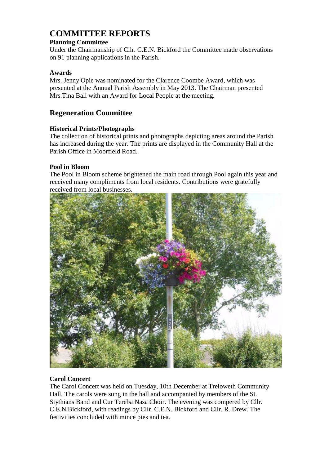## **COMMITTEE REPORTS**

#### **Planning Committee**

Under the Chairmanship of Cllr. C.E.N. Bickford the Committee made observations on 91 planning applications in the Parish.

#### **Awards**

Mrs. Jenny Opie was nominated for the Clarence Coombe Award, which was presented at the Annual Parish Assembly in May 2013. The Chairman presented Mrs.Tina Ball with an Award for Local People at the meeting.

#### **Regeneration Committee**

#### **Historical Prints/Photographs**

The collection of historical prints and photographs depicting areas around the Parish has increased during the year. The prints are displayed in the Community Hall at the Parish Office in Moorfield Road.

#### **Pool in Bloom**

The Pool in Bloom scheme brightened the main road through Pool again this year and received many compliments from local residents. Contributions were gratefully received from local businesses.



#### **Carol Concert**

The Carol Concert was held on Tuesday, 10th December at Treloweth Community Hall. The carols were sung in the hall and accompanied by members of the St. Stythians Band and Cur Tereba Nasa Choir. The evening was compered by Cllr. C.E.N.Bickford, with readings by Cllr. C.E.N. Bickford and Cllr. R. Drew. The festivities concluded with mince pies and tea.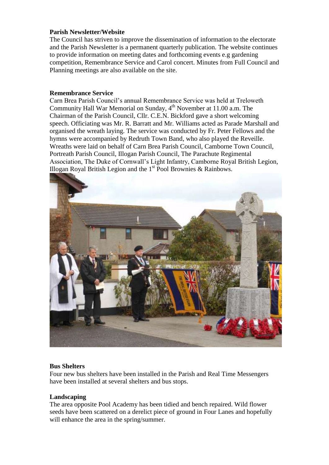#### **Parish Newsletter/Website**

The Council has striven to improve the dissemination of information to the electorate and the Parish Newsletter is a permanent quarterly publication. The website continues to provide information on meeting dates and forthcoming events e.g gardening competition, Remembrance Service and Carol concert. Minutes from Full Council and Planning meetings are also available on the site.

#### **Remembrance Service**

Carn Brea Parish Council's annual Remembrance Service was held at Treloweth Community Hall War Memorial on Sunday,  $4<sup>th</sup>$  November at 11.00 a.m. The Chairman of the Parish Council, Cllr. C.E.N. Bickford gave a short welcoming speech. Officiating was Mr. R. Barratt and Mr. Williams acted as Parade Marshall and organised the wreath laying. The service was conducted by Fr. Peter Fellows and the hymns were accompanied by Redruth Town Band, who also played the Reveille. Wreaths were laid on behalf of Carn Brea Parish Council, Camborne Town Council, Portreath Parish Council, Illogan Parish Council, The Parachute Regimental Association, The Duke of Cornwall's Light Infantry, Camborne Royal British Legion, Illogan Royal British Legion and the  $1<sup>st</sup>$  Pool Brownies & Rainbows.



#### **Bus Shelters**

Four new bus shelters have been installed in the Parish and Real Time Messengers have been installed at several shelters and bus stops.

#### **Landscaping**

The area opposite Pool Academy has been tidied and bench repaired. Wild flower seeds have been scattered on a derelict piece of ground in Four Lanes and hopefully will enhance the area in the spring/summer.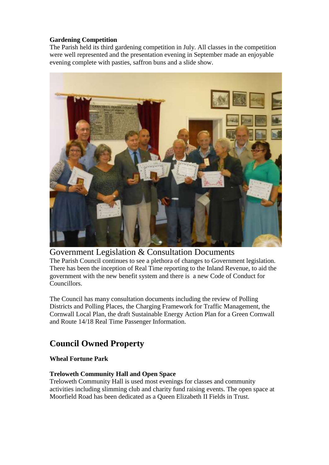#### **Gardening Competition**

The Parish held its third gardening competition in July. All classes in the competition were well represented and the presentation evening in September made an enjoyable evening complete with pasties, saffron buns and a slide show.



### Government Legislation & Consultation Documents

The Parish Council continues to see a plethora of changes to Government legislation. There has been the inception of Real Time reporting to the Inland Revenue, to aid the government with the new benefit system and there is a new Code of Conduct for Councillors.

The Council has many consultation documents including the review of Polling Districts and Polling Places, the Charging Framework for Traffic Management, the Cornwall Local Plan, the draft Sustainable Energy Action Plan for a Green Cornwall and Route 14/18 Real Time Passenger Information.

## **Council Owned Property**

#### **Wheal Fortune Park**

#### **Treloweth Community Hall and Open Space**

Treloweth Community Hall is used most evenings for classes and community activities including slimming club and charity fund raising events. The open space at Moorfield Road has been dedicated as a Queen Elizabeth II Fields in Trust.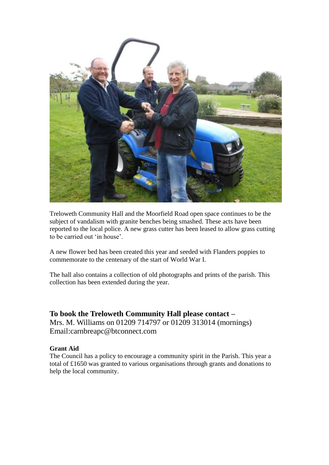

Treloweth Community Hall and the Moorfield Road open space continues to be the subject of vandalism with granite benches being smashed. These acts have been reported to the local police. A new grass cutter has been leased to allow grass cutting to be carried out 'in house'.

A new flower bed has been created this year and seeded with Flanders poppies to commemorate to the centenary of the start of World War I.

The hall also contains a collection of old photographs and prints of the parish. This collection has been extended during the year.

**To book the Treloweth Community Hall please contact –** Mrs. M. Williams on 01209 714797 or 01209 313014 (mornings) Email:carnbreapc@btconnect.com

#### **Grant Aid**

The Council has a policy to encourage a community spirit in the Parish. This year a total of £1650 was granted to various organisations through grants and donations to help the local community.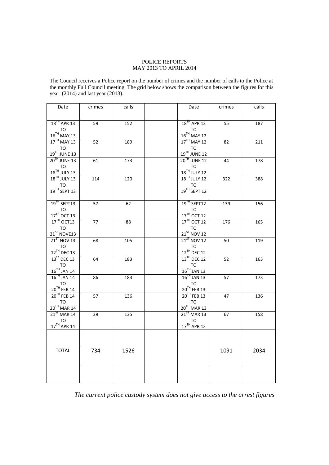#### POLICE REPORTS MAY 2013 TO APRIL 2014

The Council receives a Police report on the number of crimes and the number of calls to the Police at the monthly Full Council meeting. The grid below shows the comparison between the figures for this year (2014) and last year (2013).

| Date                                                            | crimes | calls | Date                                                       | crimes | calls |
|-----------------------------------------------------------------|--------|-------|------------------------------------------------------------|--------|-------|
| $18$ <sup>TH</sup> APR 13<br>TO<br>$16^{\mathrm{TH}}$ MAY 13    | 59     | 152   | 18 <sup>TH</sup> APR 12<br>то<br>$16^{\text{TH}}$ MAY 12   | 55     | 187   |
| $17TH$ MAY 13<br>TO<br>$19^{TH}$ JUNE 13                        | 52     | 189   | $17TH$ MAY 12<br><b>TO</b><br>19TH JUNE 12                 | 82     | 211   |
| $20TH$ JUNE 13<br>TO<br>18 <sup>TH</sup> JULY 13                | 61     | 173   | 20 <sup>TH</sup> JUNE 12<br>TO<br>$18^{\text{TH}}$ JULY 12 | 44     | 178   |
| $18$ <sup>TH</sup> JULY 13<br>TO<br>$19^{TH}$ SEPT 13           | 114    | 120   | 18 <sup>TH</sup> JULY 12<br>TO<br>19TH SEPT 12             | 322    | 388   |
| 19 <sup>TH</sup> SEPT13<br>TO<br>17TH OCT 13                    | 57     | 62    | 19 <sup>TH</sup> SEPT12<br>TO<br>17TH OCT 12               | 139    | 156   |
| $17^{\text{TH}}$ OCT13<br>TO<br>$21^{ST}$ NOVE13                | 77     | 88    | $17TH$ OCT 12<br>TO<br>$21^{ST}$ NOV 12                    | 176    | 165   |
| $21^{57}$ NOV 13<br><b>TO</b><br>12TH DEC 13                    | 68     | 105   | $21ST$ NOV 12<br>TO<br>$12^{TH}$ DEC 12                    | 50     | 119   |
| $13^{\text{th}}$ DEC 13<br><b>TO</b><br>$16^{\text{TH}}$ JAN 14 | 64     | 183   | 13 <sup>TH</sup> DEC 12<br>TO<br>16 <sup>TH</sup> JAN 13   | 52     | 163   |
| $16TH$ JAN 14<br><b>TO</b><br>$20^{\text{TH}}$ FEB 14           | 86     | 183   | $16^{\text{TH}}$ JAN 13<br>TO<br>$20^{TH}$ FEB 13          | 57     | 173   |
| $20TH$ FEB 14<br>TO<br>$20^{\mathrm{TH}}$ MAR 14                | 57     | 136   | 20 <sup>TH</sup> FEB 13<br>TO<br>$20^{\text{TH}}$ MAR 13   | 47     | 136   |
| $21ST$ MAR 14<br>TO<br>$17^{\text{TH}}$ APR 14                  | 39     | 135   | $21ST$ MAR 13<br>TO<br>17TH APR 13                         | 67     | 158   |
| <b>TOTAL</b>                                                    | 734    | 1526  |                                                            | 1091   | 2034  |
|                                                                 |        |       |                                                            |        |       |

*The current police custody system does not give access to the arrest figures*